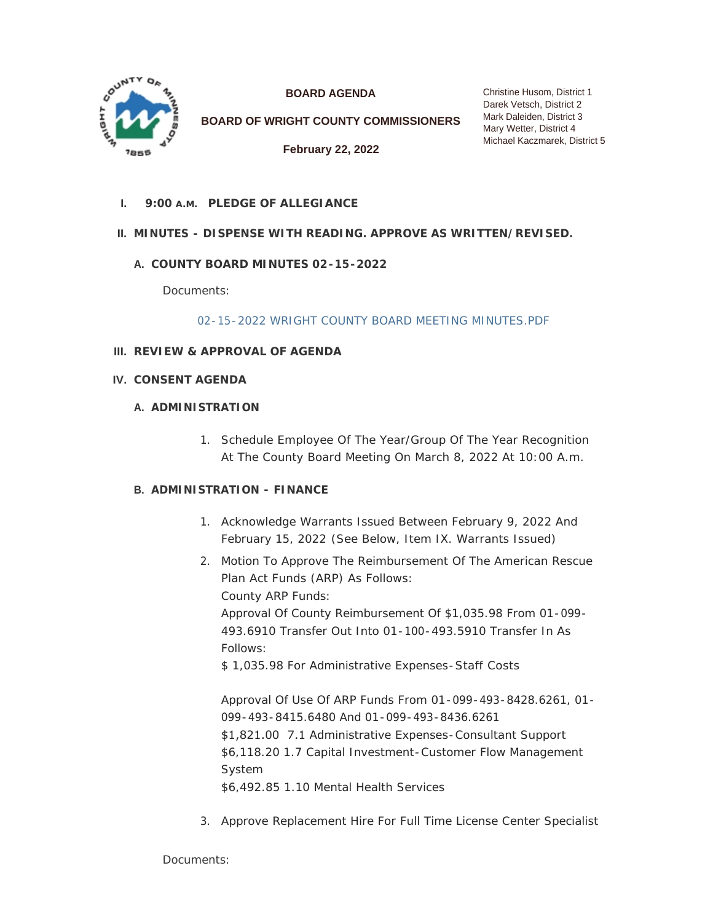

**BOARD AGENDA**

**BOARD OF WRIGHT COUNTY COMMISSIONERS**

**February 22, 2022**

**PLEDGE OF ALLEGIANCE I. 9:00 A.M.**

# **MINUTES - DISPENSE WITH READING. APPROVE AS WRITTEN/REVISED. II.**

# **COUNTY BOARD MINUTES 02-15-2022 A.**

Documents:

[02-15-2022 WRIGHT COUNTY BOARD MEETING MINUTES.PDF](https://www.co.wright.mn.us/AgendaCenter/ViewFile/Item/10380?fileID=22242)

- **REVIEW & APPROVAL OF AGENDA III.**
- **CONSENT AGENDA IV.**

# **A. ADMINISTRATION**

1. Schedule Employee Of The Year/Group Of The Year Recognition At The County Board Meeting On March 8, 2022 At 10:00 A.m.

# **ADMINISTRATION - FINANCE B.**

- 1. Acknowledge Warrants Issued Between February 9, 2022 And February 15, 2022 *(See Below, Item IX. Warrants Issued)*
- 2. Motion To Approve The Reimbursement Of The American Rescue Plan Act Funds (ARP) As Follows: County ARP Funds: Approval Of County Reimbursement Of \$1,035.98 From 01-099- 493.6910 Transfer Out Into 01-100-493.5910 Transfer In As Follows:

\$ 1,035.98 For Administrative Expenses-Staff Costs

Approval Of Use Of ARP Funds From 01-099-493-8428.6261, 01- 099-493-8415.6480 And 01-099-493-8436.6261 \$1,821.00 7.1 Administrative Expenses-Consultant Support \$6,118.20 1.7 Capital Investment-Customer Flow Management System \$6,492.85 1.10 Mental Health Services

3. Approve Replacement Hire For Full Time License Center Specialist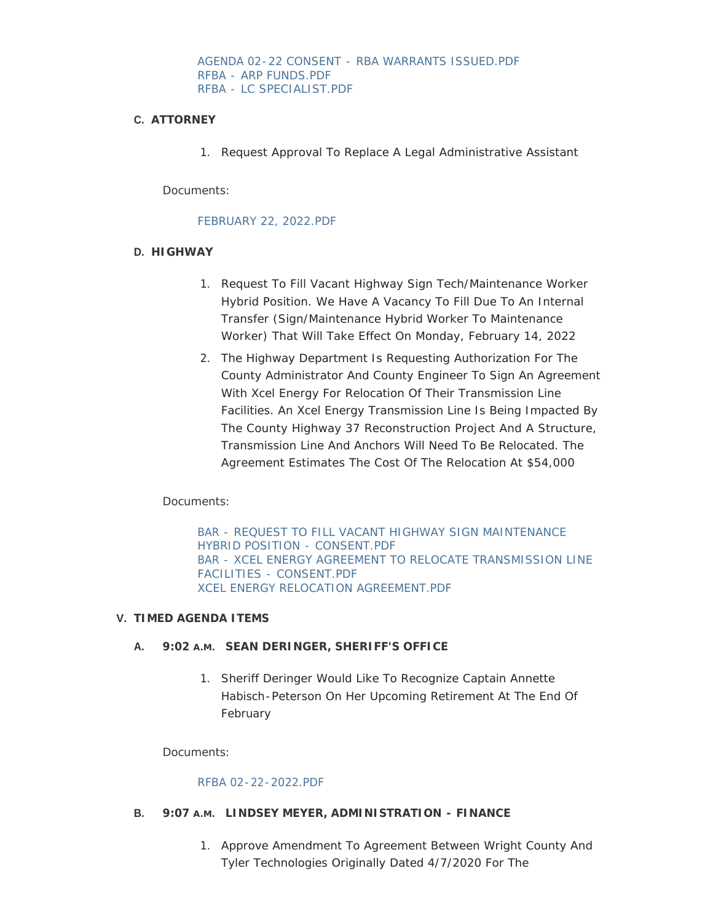#### [AGENDA 02-22 CONSENT - RBA WARRANTS ISSUED.PDF](https://www.co.wright.mn.us/AgendaCenter/ViewFile/Item/10388?fileID=22232) [RFBA - ARP FUNDS.PDF](https://www.co.wright.mn.us/AgendaCenter/ViewFile/Item/10388?fileID=22238) [RFBA - LC SPECIALIST.PDF](https://www.co.wright.mn.us/AgendaCenter/ViewFile/Item/10388?fileID=22239)

### **ATTORNEY C.**

1. Request Approval To Replace A Legal Administrative Assistant

Documents:

#### [FEBRUARY 22, 2022.PDF](https://www.co.wright.mn.us/AgendaCenter/ViewFile/Item/10392?fileID=22237)

### **HIGHWAY D.**

- 1. Request To Fill Vacant Highway Sign Tech/Maintenance Worker Hybrid Position. We Have A Vacancy To Fill Due To An Internal Transfer (Sign/Maintenance Hybrid Worker To Maintenance Worker) That Will Take Effect On Monday, February 14, 2022
- 2. The Highway Department Is Requesting Authorization For The County Administrator And County Engineer To Sign An Agreement With Xcel Energy For Relocation Of Their Transmission Line Facilities. An Xcel Energy Transmission Line Is Being Impacted By The County Highway 37 Reconstruction Project And A Structure, Transmission Line And Anchors Will Need To Be Relocated. The Agreement Estimates The Cost Of The Relocation At \$54,000

## Documents:

[BAR - REQUEST TO FILL VACANT HIGHWAY SIGN MAINTENANCE](https://www.co.wright.mn.us/AgendaCenter/ViewFile/Item/10384?fileID=22226)  HYBRID POSITION - CONSENT.PDF [BAR - XCEL ENERGY AGREEMENT TO RELOCATE TRANSMISSION LINE](https://www.co.wright.mn.us/AgendaCenter/ViewFile/Item/10384?fileID=22227)  FACILITIES - CONSENT.PDF [XCEL ENERGY RELOCATION AGREEMENT.PDF](https://www.co.wright.mn.us/AgendaCenter/ViewFile/Item/10384?fileID=22228)

#### **TIMED AGENDA ITEMS V.**

#### **SEAN DERINGER, SHERIFF'S OFFICE A. 9:02 A.M.**

1. Sheriff Deringer Would Like To Recognize Captain Annette Habisch-Peterson On Her Upcoming Retirement At The End Of February

Documents:

#### [RFBA 02-22-2022.PDF](https://www.co.wright.mn.us/AgendaCenter/ViewFile/Item/10385?fileID=22229)

#### **B.** 9:07 A.M. LINDSEY MEYER, ADMINISTRATION - FINANCE

1. Approve Amendment To Agreement Between Wright County And Tyler Technologies Originally Dated 4/7/2020 For The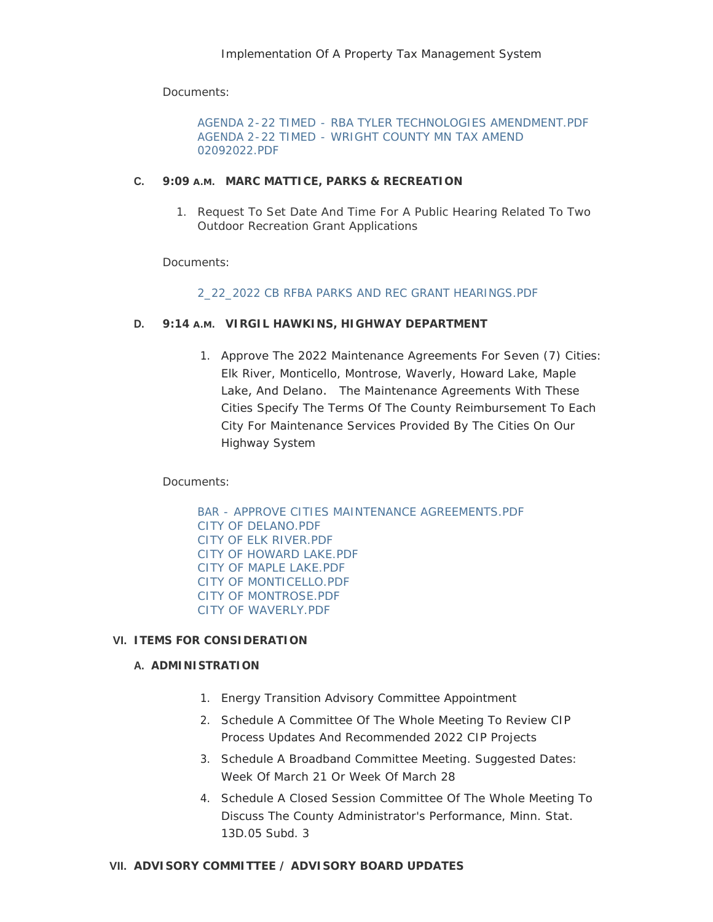Documents:

[AGENDA 2-22 TIMED - RBA TYLER TECHNOLOGIES AMENDMENT.PDF](https://www.co.wright.mn.us/AgendaCenter/ViewFile/Item/10391?fileID=22235) [AGENDA 2-22 TIMED - WRIGHT COUNTY MN TAX AMEND](https://www.co.wright.mn.us/AgendaCenter/ViewFile/Item/10391?fileID=22236)  02092022.PDF

### **C.** 9:09 A.M. MARC MATTICE, PARKS & RECREATION

1. Request To Set Date And Time For A Public Hearing Related To Two Outdoor Recreation Grant Applications

Documents:

### [2\\_22\\_2022 CB RFBA PARKS AND REC GRANT HEARINGS.PDF](https://www.co.wright.mn.us/AgendaCenter/ViewFile/Item/10386?fileID=22230)

## **VIRGIL HAWKINS, HIGHWAY DEPARTMENT D. 9:14 A.M.**

1. Approve The 2022 Maintenance Agreements For Seven (7) Cities: Elk River, Monticello, Montrose, Waverly, Howard Lake, Maple Lake, And Delano. The Maintenance Agreements With These Cities Specify The Terms Of The County Reimbursement To Each City For Maintenance Services Provided By The Cities On Our Highway System

Documents:

[BAR - APPROVE CITIES MAINTENANCE AGREEMENTS.PDF](https://www.co.wright.mn.us/AgendaCenter/ViewFile/Item/10383?fileID=22218) [CITY OF DELANO.PDF](https://www.co.wright.mn.us/AgendaCenter/ViewFile/Item/10383?fileID=22219) [CITY OF ELK RIVER.PDF](https://www.co.wright.mn.us/AgendaCenter/ViewFile/Item/10383?fileID=22220) [CITY OF HOWARD LAKE.PDF](https://www.co.wright.mn.us/AgendaCenter/ViewFile/Item/10383?fileID=22221) [CITY OF MAPLE LAKE.PDF](https://www.co.wright.mn.us/AgendaCenter/ViewFile/Item/10383?fileID=22222) [CITY OF MONTICELLO.PDF](https://www.co.wright.mn.us/AgendaCenter/ViewFile/Item/10383?fileID=22223) [CITY OF MONTROSE.PDF](https://www.co.wright.mn.us/AgendaCenter/ViewFile/Item/10383?fileID=22224) [CITY OF WAVERLY.PDF](https://www.co.wright.mn.us/AgendaCenter/ViewFile/Item/10383?fileID=22225)

## **ITEMS FOR CONSIDERATION VI.**

## **A. ADMINISTRATION**

- 1. Energy Transition Advisory Committee Appointment
- 2. Schedule A Committee Of The Whole Meeting To Review CIP Process Updates And Recommended 2022 CIP Projects
- 3. Schedule A Broadband Committee Meeting. Suggested Dates: Week Of March 21 Or Week Of March 28
- 4. Schedule A Closed Session Committee Of The Whole Meeting To Discuss The County Administrator's Performance, Minn. Stat. 13D.05 Subd. 3